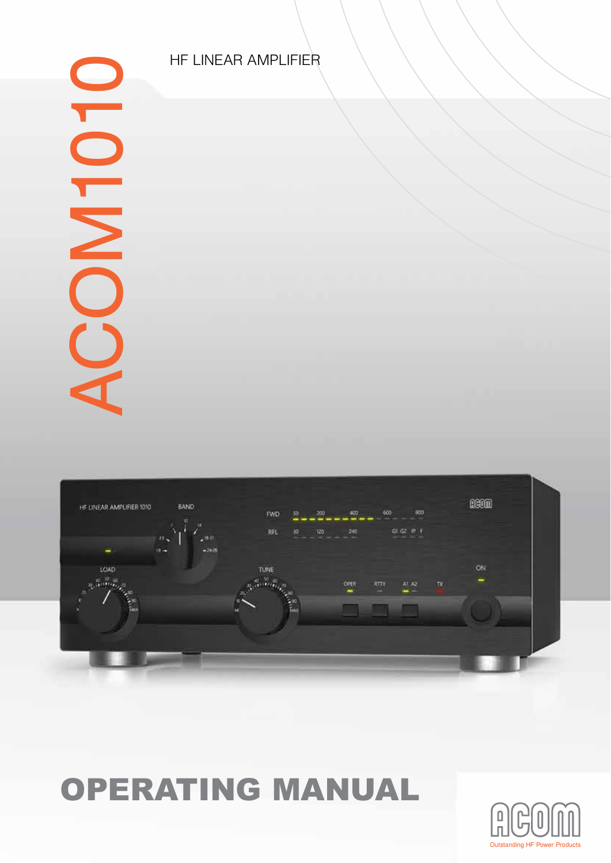

# OPERATING MANUAL

HF LINEAR AMPLIFIER



# ACOM1010 OLONOV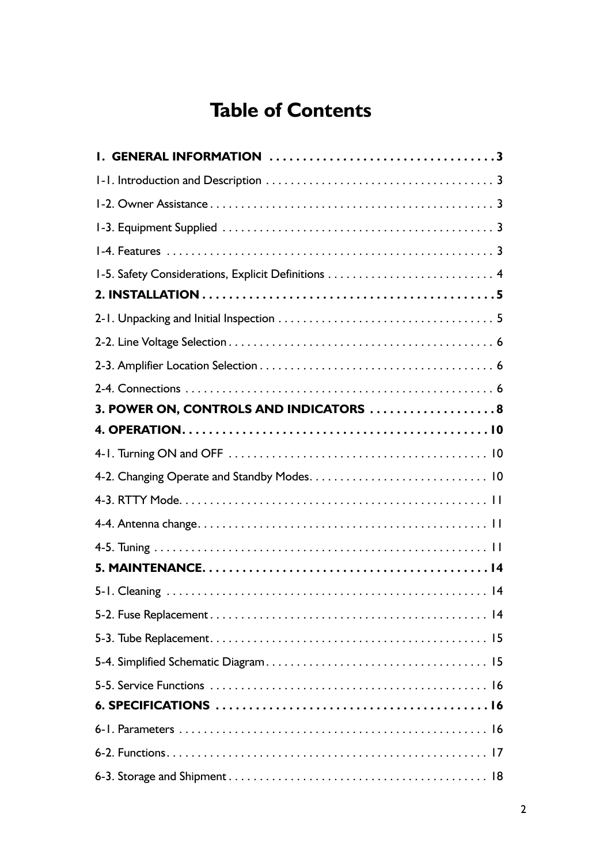## **Table of Contents**

| I. GENERAL INFORMATION 3                            |  |
|-----------------------------------------------------|--|
|                                                     |  |
|                                                     |  |
|                                                     |  |
|                                                     |  |
| 1-5. Safety Considerations, Explicit Definitions  4 |  |
|                                                     |  |
|                                                     |  |
|                                                     |  |
|                                                     |  |
|                                                     |  |
| 3. POWER ON, CONTROLS AND INDICATORS  8             |  |
|                                                     |  |
|                                                     |  |
|                                                     |  |
|                                                     |  |
|                                                     |  |
|                                                     |  |
|                                                     |  |
|                                                     |  |
|                                                     |  |
|                                                     |  |
|                                                     |  |
|                                                     |  |
|                                                     |  |
|                                                     |  |
|                                                     |  |
|                                                     |  |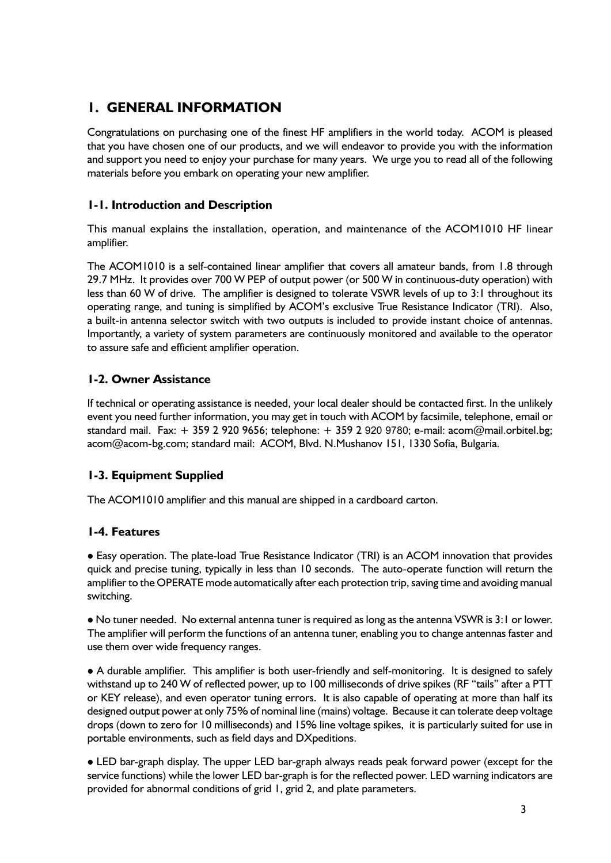### **1. GENERAL INFORMATION**

Congratulations on purchasing one of the finest HF amplifiers in the world today. ACOM is pleased that you have chosen one of our products, and we will endeavor to provide you with the information and support you need to enjoy your purchase for many years. We urge you to read all of the following materials before you embark on operating your new amplifier.

### **1-1. Introduction and Description**

This manual explains the installation, operation, and maintenance of the ACOM1010 HF linear amplifier.

The ACOM1010 is a self-contained linear amplifier that covers all amateur bands, from 1.8 through 29.7 MHz. It provides over 700 W PEP of output power (or 500 W in continuous-duty operation) with less than 60 W of drive. The amplifier is designed to tolerate VSWR levels of up to 3:1 throughout its operating range, and tuning is simplified by ACOM's exclusive True Resistance Indicator (TRI). Also, a built-in antenna selector switch with two outputs is included to provide instant choice of antennas. Importantly, a variety of system parameters are continuously monitored and available to the operator to assure safe and efficient amplifier operation.

### **1-2. Owner Assistance**

If technical or operating assistance is needed, your local dealer should be contacted first. In the unlikely event you need further information, you may get in touch with ACOM by facsimile, telephone, email or standard mail. Fax:  $+35929209656$ ; telephone:  $+35929209780$ ; e-mail: acom@mail.orbitel.bg; acom@acom-bg.com; standard mail: ACOM, Blvd. N.Mushanov 151, 1330 Sofia, Bulgaria.

### **1-3. Equipment Supplied**

The ACOM1010 amplifier and this manual are shipped in a cardboard carton.

### **1-4. Features**

 Easy operation. The plate-load True Resistance Indicator (TRI) is an ACOM innovation that provides quick and precise tuning, typically in less than 10 seconds. The auto-operate function will return the amplifier to the OPERATE mode automatically after each protection trip, saving time and avoiding manual switching.

 No tuner needed. No external antenna tuner is required as long as the antenna VSWR is 3:1 or lower. The amplifier will perform the functions of an antenna tuner, enabling you to change antennas faster and use them over wide frequency ranges.

 A durable amplifier. This amplifier is both user-friendly and self-monitoring. It is designed to safely withstand up to 240 W of reflected power, up to 100 milliseconds of drive spikes (RF "tails" after a PTT or KEY release), and even operator tuning errors. It is also capable of operating at more than half its designed output power at only 75% of nominal line (mains) voltage. Because it can tolerate deep voltage drops (down to zero for 10 milliseconds) and 15% line voltage spikes, it is particularly suited for use in portable environments, such as field days and DXpeditions.

 LED bar-graph display. The upper LED bar-graph always reads peak forward power (except for the service functions) while the lower LED bar-graph is for the reflected power. LED warning indicators are provided for abnormal conditions of grid 1, grid 2, and plate parameters.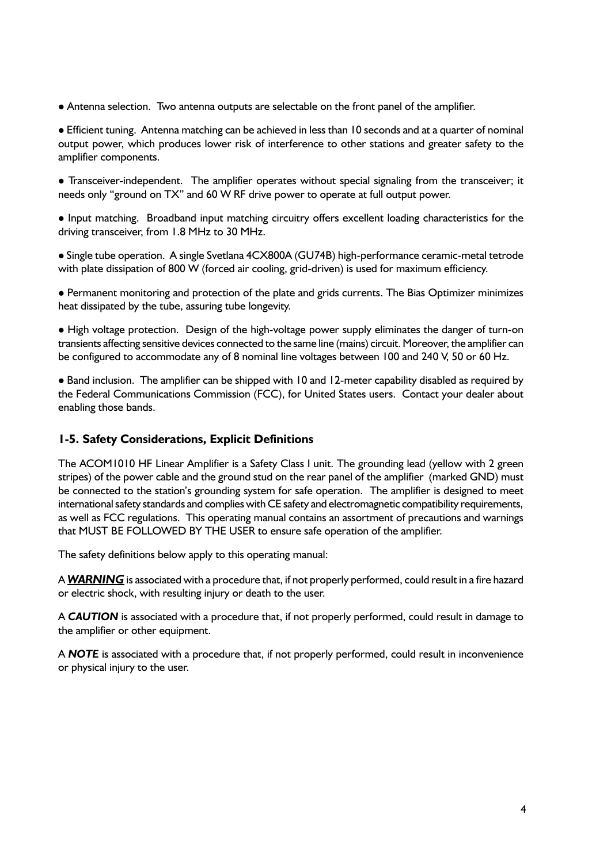Antenna selection. Two antenna outputs are selectable on the front panel of the amplifier.

 Efficient tuning. Antenna matching can be achieved in less than 10 seconds and at a quarter of nominal output power, which produces lower risk of interference to other stations and greater safety to the amplifier components.

 Transceiver-independent. The amplifier operates without special signaling from the transceiver; it needs only "ground on TX" and 60 W RF drive power to operate at full output power.

 Input matching. Broadband input matching circuitry offers excellent loading characteristics for the driving transceiver, from 1.8 MHz to 30 MHz.

 Single tube operation. A single Svetlana 4CX800A (GU74B) high-performance ceramic-metal tetrode with plate dissipation of 800 W (forced air cooling, grid-driven) is used for maximum efficiency.

 Permanent monitoring and protection of the plate and grids currents. The Bias Optimizer minimizes heat dissipated by the tube, assuring tube longevity.

 High voltage protection. Design of the high-voltage power supply eliminates the danger of turn-on transients affecting sensitive devices connected to the same line (mains) circuit. Moreover, the amplifier can be configured to accommodate any of 8 nominal line voltages between 100 and 240 V, 50 or 60 Hz.

 Band inclusion. The amplifier can be shipped with 10 and 12-meter capability disabled as required by the Federal Communications Commission (FCC), for United States users. Contact your dealer about enabling those bands.

### **1-5. Safety Considerations, Explicit Definitions**

The ACOM1010 HF Linear Amplifier is a Safety Class I unit. The grounding lead (yellow with 2 green stripes) of the power cable and the ground stud on the rear panel of the amplifier (marked GND) must be connected to the station's grounding system for safe operation. The amplifier is designed to meet international safety standards and complies with CE safety and electromagnetic compatibility requirements, as well as FCC regulations. This operating manual contains an assortment of precautions and warnings that MUST BE FOLLOWED BY THE USER to ensure safe operation of the amplifier.

The safety definitions below apply to this operating manual:

A *WARNING* is associated with a procedure that, if not properly performed, could result in a fire hazard or electric shock, with resulting injury or death to the user.

A *CAUTION* is associated with a procedure that, if not properly performed, could result in damage to the amplifier or other equipment.

A *NOTE* is associated with a procedure that, if not properly performed, could result in inconvenience or physical injury to the user.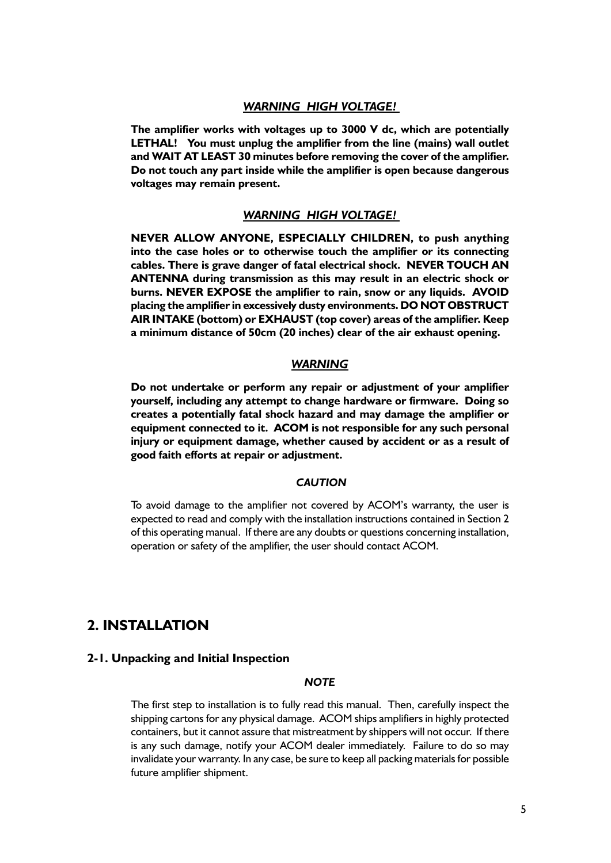### *WARNING HIGH VOLTAGE!*

**The amplifier works with voltages up to 3000 V dc, which are potentially LETHAL! You must unplug the amplifier from the line (mains) wall outlet and WAIT AT LEAST 30 minutes before removing the cover of the amplifier. Do not touch any part inside while the amplifier is open because dangerous voltages may remain present.** 

### *WARNING HIGH VOLTAGE!*

**NEVER ALLOW ANYONE, ESPECIALLY CHILDREN, to push anything into the case holes or to otherwise touch the amplifier or its connecting cables. There is grave danger of fatal electrical shock. NEVER TOUCH AN ANTENNA during transmission as this may result in an electric shock or burns. NEVER EXPOSE the amplifier to rain, snow or any liquids. AVOID placing the amplifier in excessively dusty environments. DO NOT OBSTRUCT AIR INTAKE (bottom) or EXHAUST (top cover) areas of the amplifier. Keep a minimum distance of 50cm (20 inches) clear of the air exhaust opening.**

### *WARNING*

**Do not undertake or perform any repair or adjustment of your amplifier yourself, including any attempt to change hardware or firmware. Doing so creates a potentially fatal shock hazard and may damage the amplifier or equipment connected to it. ACOM is not responsible for any such personal injury or equipment damage, whether caused by accident or as a result of good faith efforts at repair or adjustment.**

### *CAUTION*

To avoid damage to the amplifier not covered by ACOM's warranty, the user is expected to read and comply with the installation instructions contained in Section 2 of this operating manual. If there are any doubts or questions concerning installation, operation or safety of the amplifier, the user should contact ACOM.

### **2. INSTALLATION**

### **2-1. Unpacking and Initial Inspection**

### *NOTE*

The first step to installation is to fully read this manual. Then, carefully inspect the shipping cartons for any physical damage. ACOM ships amplifiers in highly protected containers, but it cannot assure that mistreatment by shippers will not occur. If there is any such damage, notify your ACOM dealer immediately. Failure to do so may invalidate your warranty. In any case, be sure to keep all packing materials for possible future amplifier shipment.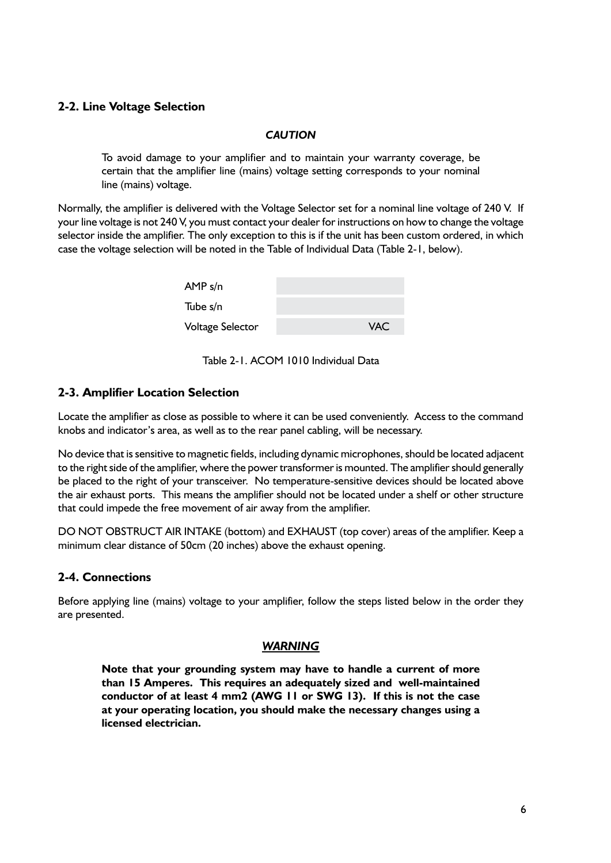### **2-2. Line Voltage Selection**

### *CAUTION*

To avoid damage to your amplifier and to maintain your warranty coverage, be certain that the amplifier line (mains) voltage setting corresponds to your nominal line (mains) voltage.

Normally, the amplifier is delivered with the Voltage Selector set for a nominal line voltage of 240 V. If your line voltage is not 240 V, you must contact your dealer for instructions on how to change the voltage selector inside the amplifier. The only exception to this is if the unit has been custom ordered, in which case the voltage selection will be noted in the Table of Individual Data (Table 2-1, below).

| AMP s/n                 |            |
|-------------------------|------------|
| Tube s/n                |            |
| <b>Voltage Selector</b> | <b>VAC</b> |

Table 2-1. ACOM 1010 Individual Data

### **2-3. Amplifier Location Selection**

Locate the amplifier as close as possible to where it can be used conveniently. Access to the command knobs and indicator's area, as well as to the rear panel cabling, will be necessary.

No device that is sensitive to magnetic fields, including dynamic microphones, should be located adjacent to the right side of the amplifier, where the power transformer is mounted. The amplifier should generally be placed to the right of your transceiver. No temperature-sensitive devices should be located above the air exhaust ports. This means the amplifier should not be located under a shelf or other structure that could impede the free movement of air away from the amplifier.

DO NOT OBSTRUCT AIR INTAKE (bottom) and EXHAUST (top cover) areas of the amplifier. Keep a minimum clear distance of 50cm (20 inches) above the exhaust opening.

### **2-4. Connections**

Before applying line (mains) voltage to your amplifier, follow the steps listed below in the order they are presented.

### *WARNING*

**Note that your grounding system may have to handle a current of more than 15 Amperes. This requires an adequately sized and well-maintained conductor of at least 4 mm2 (AWG 11 or SWG 13). If this is not the case at your operating location, you should make the necessary changes using a licensed electrician.**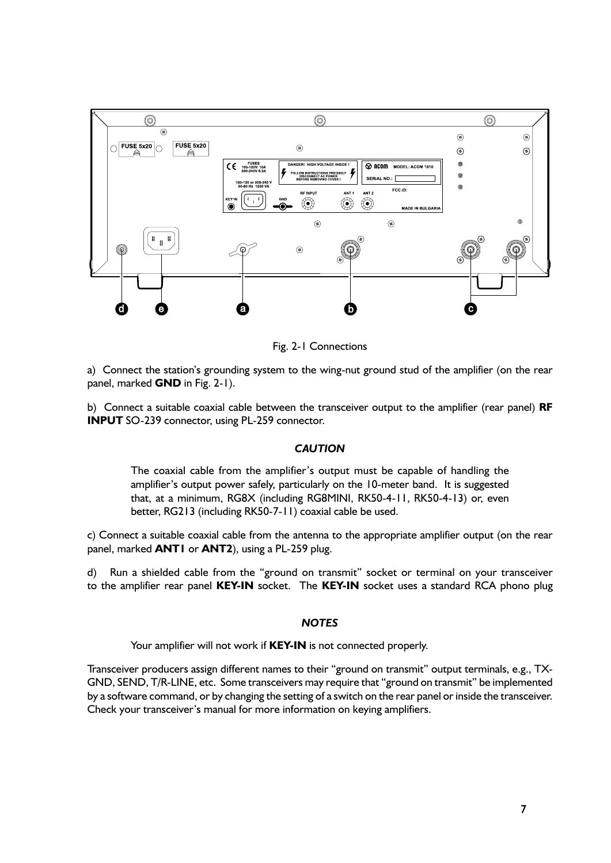

Fig. 2-1 Connections

a) Connect the station's grounding system to the wing-nut ground stud of the amplifier (on the rear panel, marked **GND** in Fig. 2-1).

b) Connect a suitable coaxial cable between the transceiver output to the amplifier (rear panel) **RF INPUT** SO-239 connector, using PL-259 connector.

### *CAUTION*

The coaxial cable from the amplifier's output must be capable of handling the amplifier's output power safely, particularly on the 10-meter band. It is suggested that, at a minimum, RG8X (including RG8MINI, RK50-4-11, RK50-4-13) or, even better, RG213 (including RK50-7-11) coaxial cable be used.

c) Connect a suitable coaxial cable from the antenna to the appropriate amplifier output (on the rear panel, marked **ANT1** or **ANT2**), using a PL-259 plug.

d) Run a shielded cable from the "ground on transmit" socket or terminal on your transceiver to the amplifier rear panel **KEY-IN** socket. The **KEY-IN** socket uses a standard RCA phono plug

### *NOTES*

Your amplifier will not work if **KEY-IN** is not connected properly.

Transceiver producers assign different names to their "ground on transmit" output terminals, e.g., TX-GND, SEND, T/R-LINE, etc. Some transceivers may require that "ground on transmit" be implemented by a software command, or by changing the setting of a switch on the rear panel or inside the transceiver. Check your transceiver's manual for more information on keying amplifiers.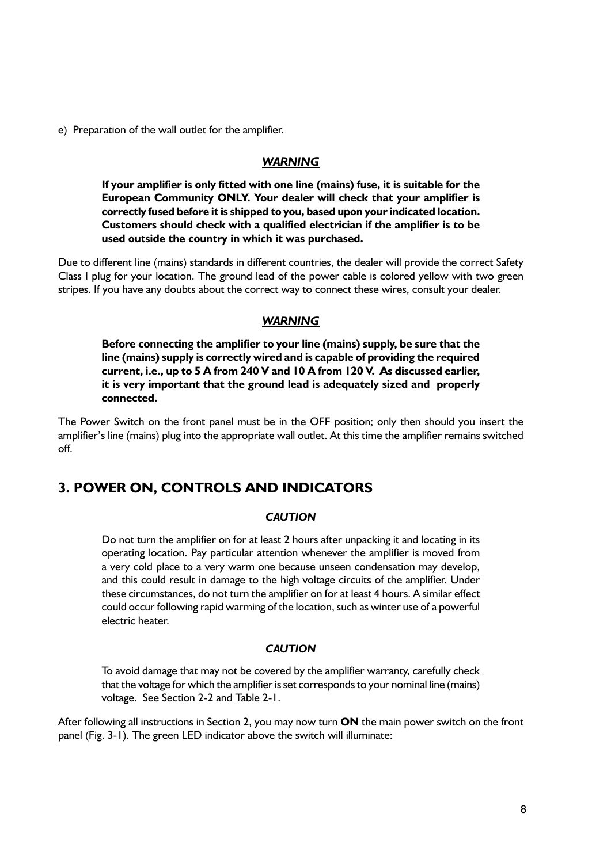e) Preparation of the wall outlet for the amplifier.

### *WARNING*

**If your amplifier is only fitted with one line (mains) fuse, it is suitable for the European Community ONLY. Your dealer will check that your amplifier is correctly fused before it is shipped to you, based upon your indicated location. Customers should check with a qualified electrician if the amplifier is to be used outside the country in which it was purchased.**

Due to different line (mains) standards in different countries, the dealer will provide the correct Safety Class I plug for your location. The ground lead of the power cable is colored yellow with two green stripes. If you have any doubts about the correct way to connect these wires, consult your dealer.

### *WARNING*

**Before connecting the amplifier to your line (mains) supply, be sure that the line (mains) supply is correctly wired and is capable of providing the required current, i.e., up to 5 A from 240 V and 10 A from 120 V. As discussed earlier, it is very important that the ground lead is adequately sized and properly connected.**

The Power Switch on the front panel must be in the OFF position; only then should you insert the amplifier's line (mains) plug into the appropriate wall outlet. At this time the amplifier remains switched off.

### **3. POWER ON, CONTROLS AND INDICATORS**

### *CAUTION*

Do not turn the amplifier on for at least 2 hours after unpacking it and locating in its operating location. Pay particular attention whenever the amplifier is moved from a very cold place to a very warm one because unseen condensation may develop, and this could result in damage to the high voltage circuits of the amplifier. Under these circumstances, do not turn the amplifier on for at least 4 hours. A similar effect could occur following rapid warming of the location, such as winter use of a powerful electric heater.

### *CAUTION*

To avoid damage that may not be covered by the amplifier warranty, carefully check that the voltage for which the amplifier is set corresponds to your nominal line (mains) voltage. See Section 2-2 and Table 2-1.

After following all instructions in Section 2, you may now turn **ON** the main power switch on the front panel (Fig. 3-1). The green LED indicator above the switch will illuminate: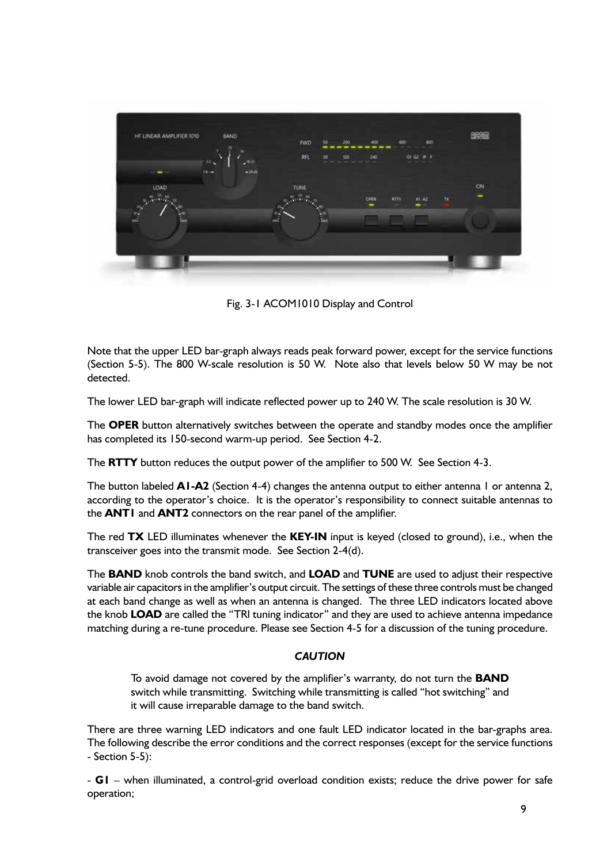

Fig. 3-1 ACOM1010 Display and Control

Note that the upper LED bar-graph always reads peak forward power, except for the service functions (Section 5-5). The 800 W-scale resolution is 50 W. Note also that levels below 50 W may be not detected.

The lower LED bar-graph will indicate reflected power up to 240 W. The scale resolution is 30 W.

The **OPER** button alternatively switches between the operate and standby modes once the amplifier has completed its 150-second warm-up period. See Section 4-2.

The **RTTY** button reduces the output power of the amplifier to 500 W. See Section 4-3.

The button labeled **A1-A2** (Section 4-4) changes the antenna output to either antenna 1 or antenna 2, according to the operator's choice. It is the operator's responsibility to connect suitable antennas to the **ANT1** and **ANT2** connectors on the rear panel of the amplifier.

The red **TX** LED illuminates whenever the **KEY-IN** input is keyed (closed to ground), i.e., when the transceiver goes into the transmit mode. See Section 2-4(d).

The **BAND** knob controls the band switch, and **LOAD** and **TUNE** are used to adjust their respective variable air capacitors in the amplifier's output circuit. The settings of these three controls must be changed at each band change as well as when an antenna is changed. The three LED indicators located above the knob **LOAD** are called the "TRI tuning indicator" and they are used to achieve antenna impedance matching during a re-tune procedure. Please see Section 4-5 for a discussion of the tuning procedure.

### *CAUTION*

To avoid damage not covered by the amplifier's warranty, do not turn the **BAND** switch while transmitting. Switching while transmitting is called "hot switching" and it will cause irreparable damage to the band switch.

There are three warning LED indicators and one fault LED indicator located in the bar-graphs area. The following describe the error conditions and the correct responses (except for the service functions - Section 5-5):

- **G1** – when illuminated, a control-grid overload condition exists; reduce the drive power for safe operation;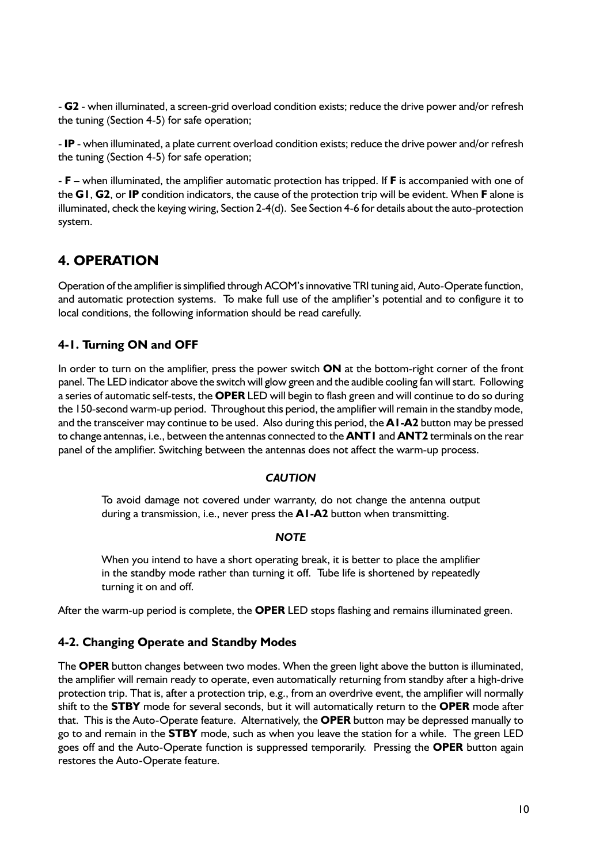- **G2** - when illuminated, a screen-grid overload condition exists; reduce the drive power and/or refresh the tuning (Section 4-5) for safe operation;

- **IP** - when illuminated, a plate current overload condition exists; reduce the drive power and/or refresh the tuning (Section 4-5) for safe operation;

- **F** – when illuminated, the amplifier automatic protection has tripped. If **F** is accompanied with one of the **G1**, **G2**, or **IP** condition indicators, the cause of the protection trip will be evident. When **F** alone is illuminated, check the keying wiring, Section 2-4(d). See Section 4-6 for details about the auto-protection system.

### **4. OPERATION**

Operation of the amplifier is simplified through ACOM's innovative TRI tuning aid, Auto-Operate function, and automatic protection systems. To make full use of the amplifier's potential and to configure it to local conditions, the following information should be read carefully.

### **4-1. Turning ON and OFF**

In order to turn on the amplifier, press the power switch **ON** at the bottom-right corner of the front panel. The LED indicator above the switch will glow green and the audible cooling fan will start. Following a series of automatic self-tests, the **OPER** LED will begin to flash green and will continue to do so during the 150-second warm-up period. Throughout this period, the amplifier will remain in the standby mode, and the transceiver may continue to be used. Also during this period, the **A1-A2** button may be pressed to change antennas, i.e., between the antennas connected to the **ANT1** and **ANT2** terminals on the rear panel of the amplifier. Switching between the antennas does not affect the warm-up process.

### *CAUTION*

To avoid damage not covered under warranty, do not change the antenna output during a transmission, i.e., never press the **A1-A2** button when transmitting.

### *NOTE*

When you intend to have a short operating break, it is better to place the amplifier in the standby mode rather than turning it off. Tube life is shortened by repeatedly turning it on and off.

After the warm-up period is complete, the **OPER** LED stops flashing and remains illuminated green.

### **4-2. Changing Operate and Standby Modes**

The **OPER** button changes between two modes. When the green light above the button is illuminated, the amplifier will remain ready to operate, even automatically returning from standby after a high-drive protection trip. That is, after a protection trip, e.g., from an overdrive event, the amplifier will normally shift to the **STBY** mode for several seconds, but it will automatically return to the **OPER** mode after that. This is the Auto-Operate feature. Alternatively, the **OPER** button may be depressed manually to go to and remain in the **STBY** mode, such as when you leave the station for a while. The green LED goes off and the Auto-Operate function is suppressed temporarily. Pressing the **OPER** button again restores the Auto-Operate feature.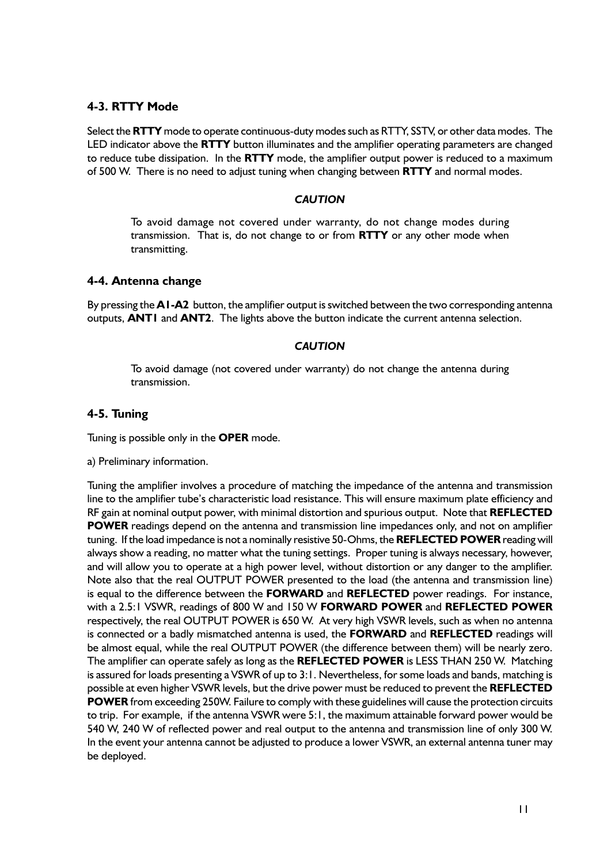### **4-3. RTTY Mode**

Select the **RTTY** mode to operate continuous-duty modes such as RTTY, SSTV, or other data modes. The LED indicator above the **RTTY** button illuminates and the amplifier operating parameters are changed to reduce tube dissipation. In the **RTTY** mode, the amplifier output power is reduced to a maximum of 500 W. There is no need to adjust tuning when changing between **RTTY** and normal modes.

### *CAUTION*

To avoid damage not covered under warranty, do not change modes during transmission. That is, do not change to or from **RTTY** or any other mode when transmitting.

### **4-4. Antenna change**

By pressing the **A1-A2** button, the amplifier output is switched between the two corresponding antenna outputs, **ANT1** and **ANT2**. The lights above the button indicate the current antenna selection.

### *CAUTION*

To avoid damage (not covered under warranty) do not change the antenna during transmission.

### **4-5. Tuning**

Tuning is possible only in the **OPER** mode.

a) Preliminary information.

Tuning the amplifier involves a procedure of matching the impedance of the antenna and transmission line to the amplifier tube's characteristic load resistance. This will ensure maximum plate efficiency and RF gain at nominal output power, with minimal distortion and spurious output. Note that **REFLECTED POWER** readings depend on the antenna and transmission line impedances only, and not on amplifier tuning. If the load impedance is not a nominally resistive 50-Ohms, the **REFLECTED POWER** reading will always show a reading, no matter what the tuning settings. Proper tuning is always necessary, however, and will allow you to operate at a high power level, without distortion or any danger to the amplifier. Note also that the real OUTPUT POWER presented to the load (the antenna and transmission line) is equal to the difference between the **FORWARD** and **REFLECTED** power readings. For instance, with a 2.5:1 VSWR, readings of 800 W and 150 W **FORWARD POWER** and **REFLECTED POWER** respectively, the real OUTPUT POWER is 650 W. At very high VSWR levels, such as when no antenna is connected or a badly mismatched antenna is used, the **FORWARD** and **REFLECTED** readings will be almost equal, while the real OUTPUT POWER (the difference between them) will be nearly zero. The amplifier can operate safely as long as the **REFLECTED POWER** is LESS THAN 250 W. Matching is assured for loads presenting a VSWR of up to 3:1. Nevertheless, for some loads and bands, matching is possible at even higher VSWR levels, but the drive power must be reduced to prevent the **REFLECTED POWER** from exceeding 250W. Failure to comply with these guidelines will cause the protection circuits to trip. For example, if the antenna VSWR were 5:1, the maximum attainable forward power would be 540 W, 240 W of reflected power and real output to the antenna and transmission line of only 300 W. In the event your antenna cannot be adjusted to produce a lower VSWR, an external antenna tuner may be deployed.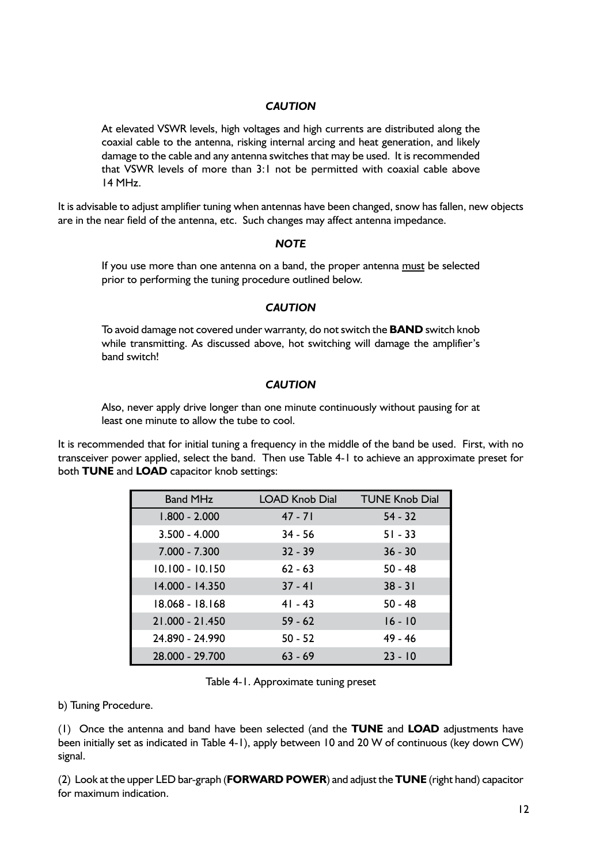### *CAUTION*

At elevated VSWR levels, high voltages and high currents are distributed along the coaxial cable to the antenna, risking internal arcing and heat generation, and likely damage to the cable and any antenna switches that may be used. It is recommended that VSWR levels of more than 3:1 not be permitted with coaxial cable above 14 MHz.

It is advisable to adjust amplifier tuning when antennas have been changed, snow has fallen, new objects are in the near field of the antenna, etc. Such changes may affect antenna impedance.

### *NOTE*

If you use more than one antenna on a band, the proper antenna must be selected prior to performing the tuning procedure outlined below.

### *CAUTION*

To avoid damage not covered under warranty, do not switch the **BAND** switch knob while transmitting. As discussed above, hot switching will damage the amplifier's band switch!

### *CAUTION*

Also, never apply drive longer than one minute continuously without pausing for at least one minute to allow the tube to cool.

It is recommended that for initial tuning a frequency in the middle of the band be used. First, with no transceiver power applied, select the band. Then use Table 4-1 to achieve an approximate preset for both **TUNE** and **LOAD** capacitor knob settings:

| <b>Band MHz</b> | <b>LOAD Knob Dial</b> | <b>TUNE Knob Dial</b> |
|-----------------|-----------------------|-----------------------|
| $1.800 - 2.000$ | $47 - 71$             | $54 - 32$             |
| $3.500 - 4.000$ | $34 - 56$             | $51 - 33$             |
| $7.000 - 7.300$ | $32 - 39$             | $36 - 30$             |
| 10.100 - 10.150 | $62 - 63$             | $50 - 48$             |
| 14.000 - 14.350 | $37 - 41$             | $38 - 31$             |
| 18.068 - 18.168 | $41 - 43$             | $50 - 48$             |
| 21.000 - 21.450 | $59 - 62$             | $16 - 10$             |
| 24.890 - 24.990 | $50 - 52$             | $49 - 46$             |
| 28.000 - 29.700 | $63 - 69$             | $23 - 10$             |

Table 4-1. Approximate tuning preset

b) Tuning Procedure.

(1) Once the antenna and band have been selected (and the **TUNE** and **LOAD** adjustments have been initially set as indicated in Table 4-1), apply between 10 and 20 W of continuous (key down CW) signal.

(2) Look at the upper LED bar-graph (**FORWARD POWER**) and adjust the **TUNE** (right hand) capacitor for maximum indication.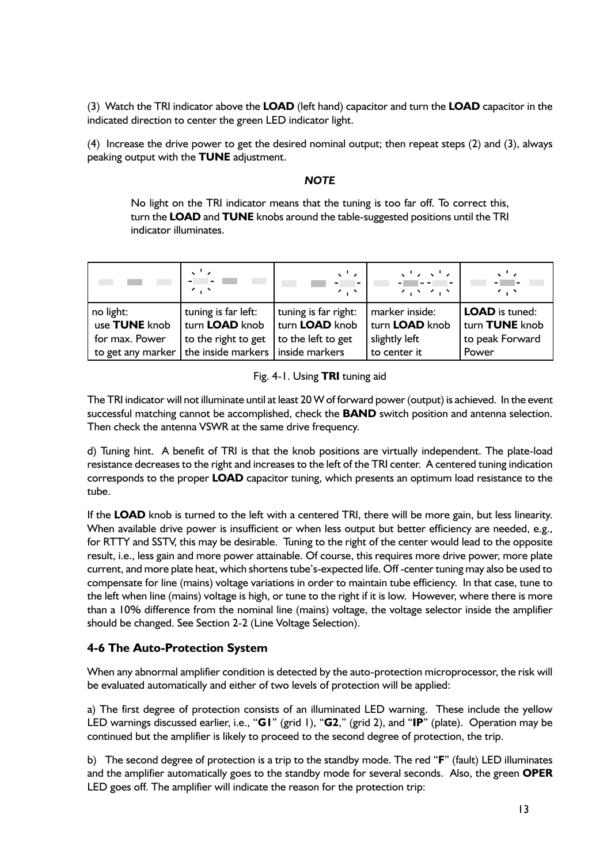(3) Watch the TRI indicator above the **LOAD** (left hand) capacitor and turn the **LOAD** capacitor in the indicated direction to center the green LED indicator light.

(4) Increase the drive power to get the desired nominal output; then repeat steps (2) and (3), always peaking output with the **TUNE** adjustment.

### *NOTE*

No light on the TRI indicator means that the tuning is too far off. To correct this, turn the **LOAD** and **TUNE** knobs around the table-suggested positions until the TRI indicator illuminates.

| <b>STATISTICS</b> | $\sim$ $\sim$<br>$\sim$ $\sim$      | $\mathbf{v}^{\mathrm{T}}$<br>. <b>.</b> 1<br>$\sim$ . $\sim$ | $\begin{array}{l} \left\langle \sqrt{1} \left  \rho \right\rangle \left  \sqrt{1} \left  \rho \right\rangle \right\rangle \\ \left\langle \rho \right  \left  \rho \right\rangle = \left\langle \rho \right  \left  \rho \right\rangle \left  \rho \right\rangle \end{array}$<br>スイメータイン | $\mathbf{v}^{\mathrm{T}}$<br>$\sim$ , $\sim$ |
|-------------------|-------------------------------------|--------------------------------------------------------------|------------------------------------------------------------------------------------------------------------------------------------------------------------------------------------------------------------------------------------------------------------------------------------------|----------------------------------------------|
| no light:         | tuning is far left:                 | tuning is far right:                                         | marker inside:                                                                                                                                                                                                                                                                           | LOAD is tuned:                               |
| use TUNE knob     | turn LOAD knob                      | turn <b>LOAD</b> knob                                        | turn <b>LOAD</b> knob                                                                                                                                                                                                                                                                    | turn TUNE knob                               |
| for max. Power    | to the right to get                 | to the left to get                                           | slightly left                                                                                                                                                                                                                                                                            | to peak Forward                              |
| to get any marker | the inside markers   inside markers |                                                              | to center it                                                                                                                                                                                                                                                                             | Power                                        |

### Fig. 4-1. Using **TRI** tuning aid

The TRI indicator will not illuminate until at least 20 W of forward power (output) is achieved. In the event successful matching cannot be accomplished, check the **BAND** switch position and antenna selection. Then check the antenna VSWR at the same drive frequency.

d) Tuning hint. A benefit of TRI is that the knob positions are virtually independent. The plate-load resistance decreases to the right and increases to the left of the TRI center. A centered tuning indication corresponds to the proper **LOAD** capacitor tuning, which presents an optimum load resistance to the tube.

If the **LOAD** knob is turned to the left with a centered TRI, there will be more gain, but less linearity. When available drive power is insufficient or when less output but better efficiency are needed, e.g., for RTTY and SSTV, this may be desirable. Tuning to the right of the center would lead to the opposite result, i.e., less gain and more power attainable. Of course, this requires more drive power, more plate current, and more plate heat, which shortens tube's-expected life. Off -center tuning may also be used to compensate for line (mains) voltage variations in order to maintain tube efficiency. In that case, tune to the left when line (mains) voltage is high, or tune to the right if it is low. However, where there is more than a 10% difference from the nominal line (mains) voltage, the voltage selector inside the amplifier should be changed. See Section 2-2 (Line Voltage Selection).

### **4-6 The Auto-Protection System**

When any abnormal amplifier condition is detected by the auto-protection microprocessor, the risk will be evaluated automatically and either of two levels of protection will be applied:

a) The first degree of protection consists of an illuminated LED warning. These include the yellow LED warnings discussed earlier, i.e., "**G1**" (grid 1), "**G2**," (grid 2), and "**IP**" (plate). Operation may be continued but the amplifier is likely to proceed to the second degree of protection, the trip.

b) The second degree of protection is a trip to the standby mode. The red "**F**" (fault) LED illuminates and the amplifier automatically goes to the standby mode for several seconds. Also, the green **OPER**  LED goes off. The amplifier will indicate the reason for the protection trip: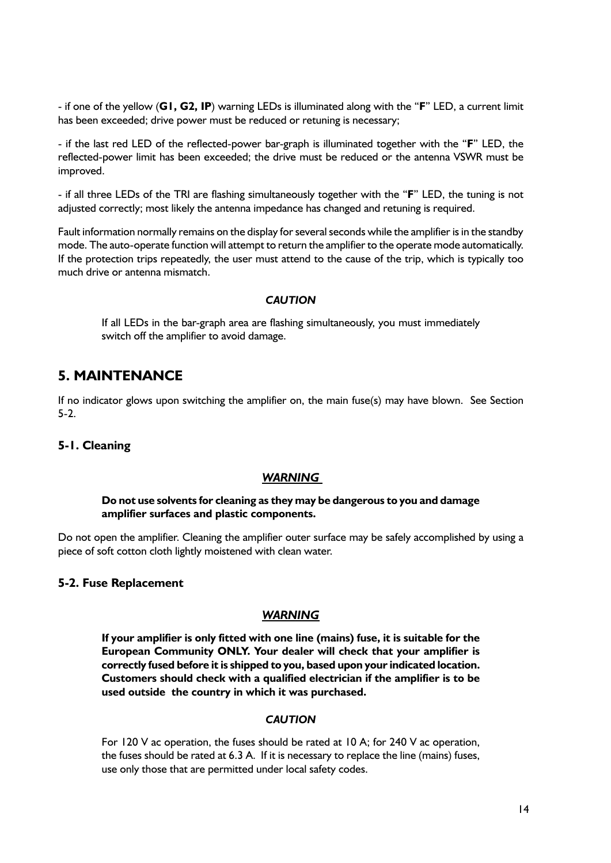- if one of the yellow (**G1, G2, IP**) warning LEDs is illuminated along with the "**F**" LED, a current limit has been exceeded; drive power must be reduced or retuning is necessary;

- if the last red LED of the reflected-power bar-graph is illuminated together with the "**F**" LED, the reflected-power limit has been exceeded; the drive must be reduced or the antenna VSWR must be improved.

- if all three LEDs of the TRI are flashing simultaneously together with the "**F**" LED, the tuning is not adjusted correctly; most likely the antenna impedance has changed and retuning is required.

Fault information normally remains on the display for several seconds while the amplifier is in the standby mode. The auto-operate function will attempt to return the amplifier to the operate mode automatically. If the protection trips repeatedly, the user must attend to the cause of the trip, which is typically too much drive or antenna mismatch.

### *CAUTION*

If all LEDs in the bar-graph area are flashing simultaneously, you must immediately switch off the amplifier to avoid damage.

### **5. MAINTENANCE**

If no indicator glows upon switching the amplifier on, the main fuse(s) may have blown. See Section 5-2.

### **5-1. Cleaning**

### *WARNING*

### **Do not use solvents for cleaning as they may be dangerous to you and damage amplifier surfaces and plastic components.**

Do not open the amplifier. Cleaning the amplifier outer surface may be safely accomplished by using a piece of soft cotton cloth lightly moistened with clean water.

### **5-2. Fuse Replacement**

### *WARNING*

**If your amplifier is only fitted with one line (mains) fuse, it is suitable for the European Community ONLY. Your dealer will check that your amplifier is correctly fused before it is shipped to you, based upon your indicated location. Customers should check with a qualified electrician if the amplifier is to be used outside the country in which it was purchased.**

### *CAUTION*

For 120 V ac operation, the fuses should be rated at 10 A; for 240 V ac operation, the fuses should be rated at 6.3 A. If it is necessary to replace the line (mains) fuses, use only those that are permitted under local safety codes.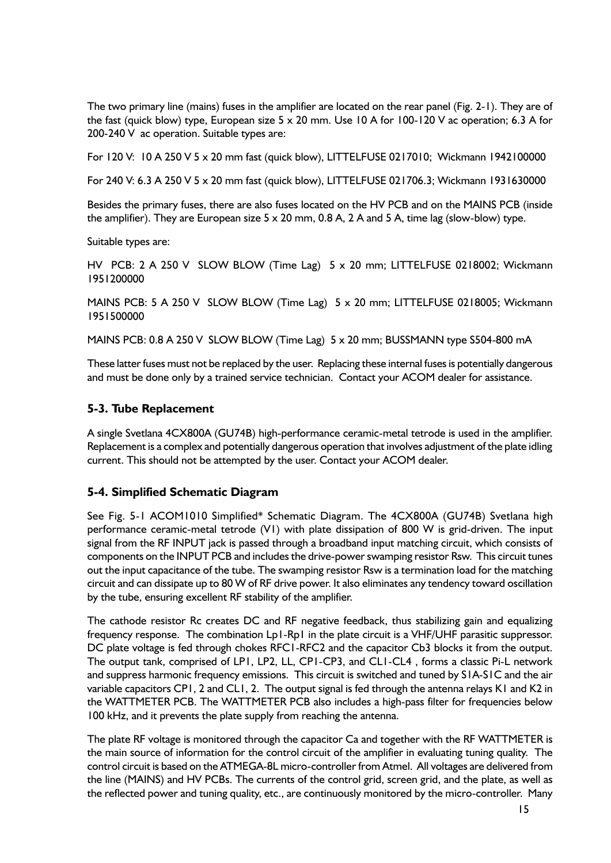The two primary line (mains) fuses in the amplifier are located on the rear panel (Fig. 2-1). They are of the fast (quick blow) type, European size 5 x 20 mm. Use 10 A for 100-120 V ac operation; 6.3 A for 200-240 V ac operation. Suitable types are:

For 120 V: 10 A 250 V 5 x 20 mm fast (quick blow), LITTELFUSE 0217010; Wickmann 1942100000

For 240 V: 6.3 A 250 V 5 x 20 mm fast (quick blow), LITTELFUSE 021706.3; Wickmann 1931630000

Besides the primary fuses, there are also fuses located on the HV PCB and on the MAINS PCB (inside the amplifier). They are European size  $5 \times 20$  mm, 0.8 A, 2 A and  $5$  A, time lag (slow-blow) type.

Suitable types are:

HV PCB: 2 A 250 V SLOW BLOW (Time Lag) 5 x 20 mm; LITTELFUSE 0218002; Wickmann 1951200000

MAINS PCB: 5 A 250 V SLOW BLOW (Time Lag) 5 x 20 mm; LITTELFUSE 0218005; Wickmann 1951500000

MAINS PCB: 0.8 A 250 V SLOW BLOW (Time Lag) 5 x 20 mm; BUSSMANN type S504-800 mA

These latter fuses must not be replaced by the user. Replacing these internal fuses is potentially dangerous and must be done only by a trained service technician. Contact your ACOM dealer for assistance.

### **5-3. Tube Replacement**

A single Svetlana 4CX800A (GU74B) high-performance ceramic-metal tetrode is used in the amplifier. Replacement is a complex and potentially dangerous operation that involves adjustment of the plate idling current. This should not be attempted by the user. Contact your ACOM dealer.

### **5-4. Simplified Schematic Diagram**

See Fig. 5-1 ACOM1010 Simplified\* Schematic Diagram. The 4CX800A (GU74B) Svetlana high performance ceramic-metal tetrode (V1) with plate dissipation of 800 W is grid-driven. The input signal from the RF INPUT jack is passed through a broadband input matching circuit, which consists of components on the INPUT PCB and includes the drive-power swamping resistor Rsw. This circuit tunes out the input capacitance of the tube. The swamping resistor Rsw is a termination load for the matching circuit and can dissipate up to 80 W of RF drive power. It also eliminates any tendency toward oscillation by the tube, ensuring excellent RF stability of the amplifier.

The cathode resistor Rc creates DC and RF negative feedback, thus stabilizing gain and equalizing frequency response. The combination Lp1-Rp1 in the plate circuit is a VHF/UHF parasitic suppressor. DC plate voltage is fed through chokes RFC1-RFC2 and the capacitor Cb3 blocks it from the output. The output tank, comprised of LP1, LP2, LL, CP1-CP3, and CL1-CL4 , forms a classic Pi-L network and suppress harmonic frequency emissions. This circuit is switched and tuned by S1A-S1C and the air variable capacitors CP1, 2 and CL1, 2. The output signal is fed through the antenna relays K1 and K2 in the WATTMETER PCB. The WATTMETER PCB also includes a high-pass filter for frequencies below 100 kHz, and it prevents the plate supply from reaching the antenna.

The plate RF voltage is monitored through the capacitor Ca and together with the RF WATTMETER is the main source of information for the control circuit of the amplifier in evaluating tuning quality. The control circuit is based on the ATMEGA-8L micro-controller from Atmel. All voltages are delivered from the line (MAINS) and HV PCBs. The currents of the control grid, screen grid, and the plate, as well as the reflected power and tuning quality, etc., are continuously monitored by the micro-controller. Many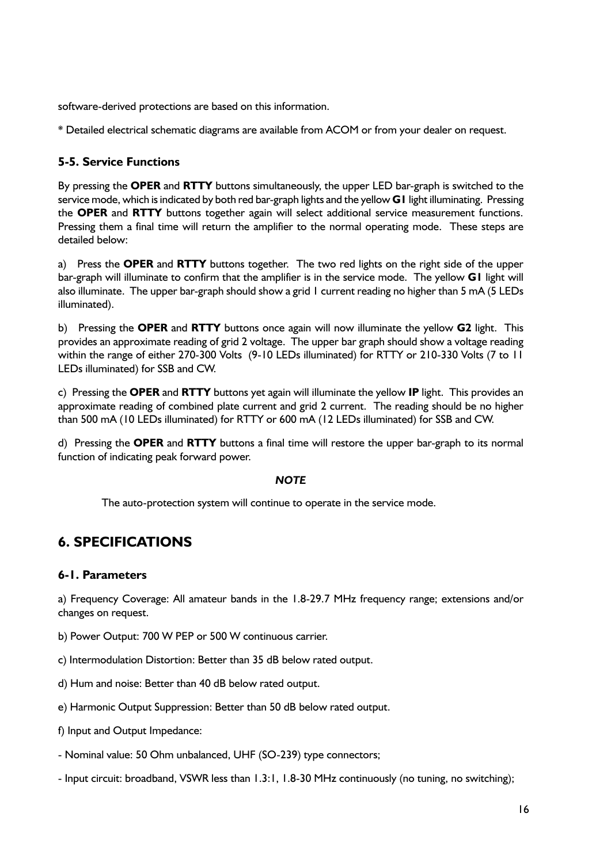software-derived protections are based on this information.

\* Detailed electrical schematic diagrams are available from ACOM or from your dealer on request.

### **5-5. Service Functions**

By pressing the **OPER** and **RTTY** buttons simultaneously, the upper LED bar-graph is switched to the service mode, which is indicated by both red bar-graph lights and the yellow **G1** light illuminating. Pressing the **OPER** and **RTTY** buttons together again will select additional service measurement functions. Pressing them a final time will return the amplifier to the normal operating mode. These steps are detailed below:

a) Press the **OPER** and **RTTY** buttons together. The two red lights on the right side of the upper bar-graph will illuminate to confirm that the amplifier is in the service mode. The yellow **G1** light will also illuminate. The upper bar-graph should show a grid 1 current reading no higher than 5 mA (5 LEDs illuminated).

b) Pressing the **OPER** and **RTTY** buttons once again will now illuminate the yellow **G2** light. This provides an approximate reading of grid 2 voltage. The upper bar graph should show a voltage reading within the range of either 270-300 Volts (9-10 LEDs illuminated) for RTTY or 210-330 Volts (7 to 11 LEDs illuminated) for SSB and CW.

c) Pressing the **OPER** and **RTTY** buttons yet again will illuminate the yellow **IP** light. This provides an approximate reading of combined plate current and grid 2 current. The reading should be no higher than 500 mA (10 LEDs illuminated) for RTTY or 600 mA (12 LEDs illuminated) for SSB and CW.

d) Pressing the **OPER** and **RTTY** buttons a final time will restore the upper bar-graph to its normal function of indicating peak forward power.

### *NOTE*

The auto-protection system will continue to operate in the service mode.

### **6. SPECIFICATIONS**

### **6-1. Parameters**

a) Frequency Coverage: All amateur bands in the 1.8-29.7 MHz frequency range; extensions and/or changes on request.

- b) Power Output: 700 W PEP or 500 W continuous carrier.
- c) Intermodulation Distortion: Better than 35 dB below rated output.
- d) Hum and noise: Better than 40 dB below rated output.
- e) Harmonic Output Suppression: Better than 50 dB below rated output.
- f) Input and Output Impedance:
- Nominal value: 50 Ohm unbalanced, UHF (SO-239) type connectors;
- Input circuit: broadband, VSWR less than 1.3:1, 1.8-30 MHz continuously (no tuning, no switching);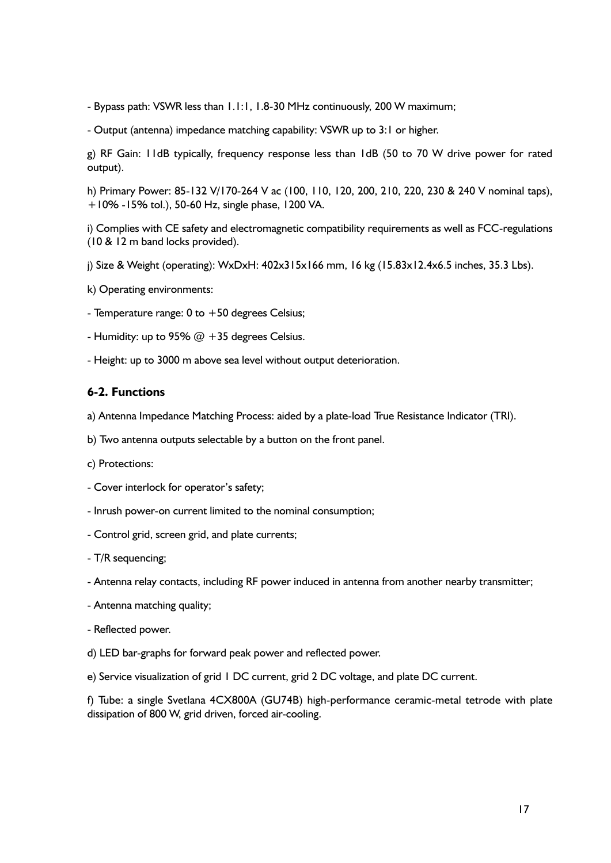- Bypass path: VSWR less than 1.1:1, 1.8-30 MHz continuously, 200 W maximum;

- Output (antenna) impedance matching capability: VSWR up to 3:1 or higher.

g) RF Gain: 11dB typically, frequency response less than 1dB (50 to 70 W drive power for rated output).

h) Primary Power: 85-132 V/170-264 V ac (100, 110, 120, 200, 210, 220, 230 & 240 V nominal taps), +10% -15% tol.), 50-60 Hz, single phase, 1200 VA.

i) Complies with CE safety and electromagnetic compatibility requirements as well as FCC-regulations (10 & 12 m band locks provided).

j) Size & Weight (operating): WxDxH: 402x315x166 mm, 16 kg (15.83x12.4x6.5 inches, 35.3 Lbs).

k) Operating environments:

- Temperature range: 0 to +50 degrees Celsius;

- Humidity: up to 95%  $@ + 35$  degrees Celsius.

- Height: up to 3000 m above sea level without output deterioration.

### **6-2. Functions**

a) Antenna Impedance Matching Process: aided by a plate-load True Resistance Indicator (TRI).

b) Two antenna outputs selectable by a button on the front panel.

c) Protections:

- Cover interlock for operator's safety;

- Inrush power-on current limited to the nominal consumption;

- Control grid, screen grid, and plate currents;

- T/R sequencing;

- Antenna relay contacts, including RF power induced in antenna from another nearby transmitter;

- Antenna matching quality;

- Reflected power.

d) LED bar-graphs for forward peak power and reflected power.

e) Service visualization of grid 1 DC current, grid 2 DC voltage, and plate DC current.

f) Tube: a single Svetlana 4CX800A (GU74B) high-performance ceramic-metal tetrode with plate dissipation of 800 W, grid driven, forced air-cooling.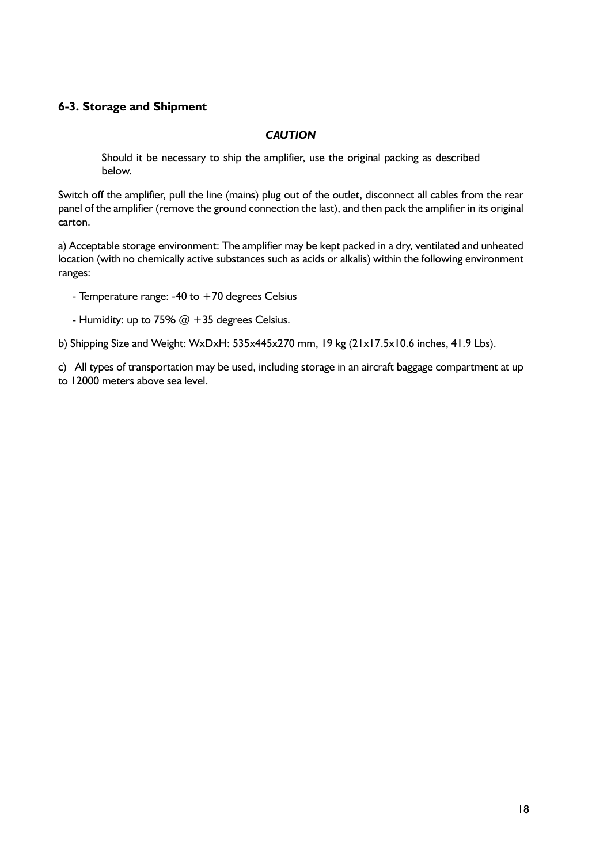### **6-3. Storage and Shipment**

### *CAUTION*

Should it be necessary to ship the amplifier, use the original packing as described below.

Switch off the amplifier, pull the line (mains) plug out of the outlet, disconnect all cables from the rear panel of the amplifier (remove the ground connection the last), and then pack the amplifier in its original carton.

a) Acceptable storage environment: The amplifier may be kept packed in a dry, ventilated and unheated location (with no chemically active substances such as acids or alkalis) within the following environment ranges:

- Temperature range: -40 to  $+70$  degrees Celsius
- Humidity: up to 75%  $@ + 35$  degrees Celsius.

b) Shipping Size and Weight: WxDxH: 535x445x270 mm, 19 kg (21x17.5x10.6 inches, 41.9 Lbs).

c) All types of transportation may be used, including storage in an aircraft baggage compartment at up to 12000 meters above sea level.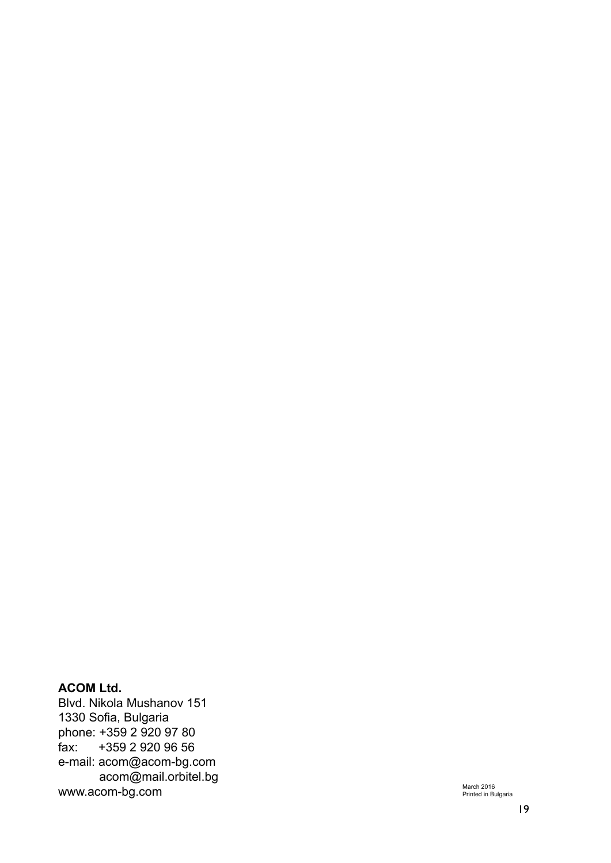### **ACOM Ltd.**

Blvd. Nikola Mushanov 151 1330 Sofia, Bulgaria phone: +359 2 920 97 80<br>fax: +359 2 920 96 56 +359 2 920 96 56 e-mail: acom@acom-bg.com acom@mail.orbitel.bg www.acom-bg.com

March 2016<br>Printed in Bulgaria